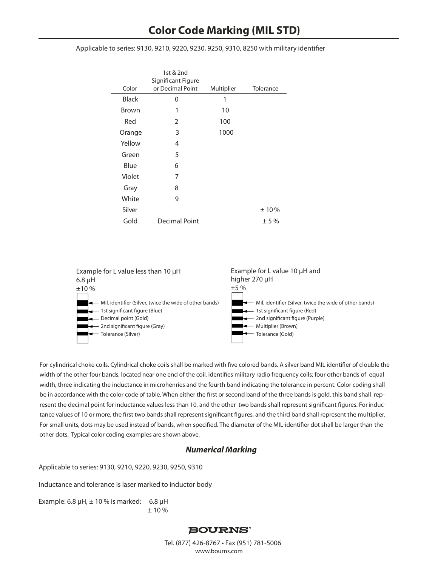Applicable to series: 9130, 9210, 9220, 9230, 9250, 9310, 8250 with military identifier

|              | 1st & 2nd                              |            |           |
|--------------|----------------------------------------|------------|-----------|
| Color        | Significant Figure<br>or Decimal Point | Multiplier | Tolerance |
|              |                                        |            |           |
| <b>Black</b> | 0                                      | 1          |           |
| Brown        | 1                                      | 10         |           |
| Red          | 2                                      | 100        |           |
| Orange       | 3                                      | 1000       |           |
| Yellow       | 4                                      |            |           |
| Green        | 5                                      |            |           |
| Blue         | 6                                      |            |           |
| Violet       | 7                                      |            |           |
| Gray         | 8                                      |            |           |
| White        | 9                                      |            |           |
| Silver       |                                        |            | ±10%      |
| Gold         | Decimal Point                          |            | ±5%       |



For cylindrical choke coils. Cylindrical choke coils shall be marked with five colored bands. A silver band MIL identifier of d ouble the width of the other four bands, located near one end of the coil, identifies military radio frequency coils; four other bands of equal width, three indicating the inductance in microhenries and the fourth band indicating the tolerance in percent. Color coding shall be in accordance with the color code of table. When either the first or second band of the three bands is gold, this band shall represent the decimal point for inductance values less than 10, and the other two bands shall represent significant figures. For inductance values of 10 or more, the first two bands shall represent significant figures, and the third band shall represent the multiplier. For small units, dots may be used instead of bands, when specified. The diameter of the MIL-identifier dot shall be larger than the other dots. Typical color coding examples are shown above.

## *Numerical Marking*

Applicable to series: 9130, 9210, 9220, 9230, 9250, 9310

Inductance and tolerance is laser marked to inductor body

Example: 6.8  $\mu$ H,  $\pm$  10 % is marked: 6.8  $\mu$ H  $± 10 \%$ 

## **BOURNS®**

Tel. (877) 426-8767 • Fax (951) 781-5006 **www.bourns.com**